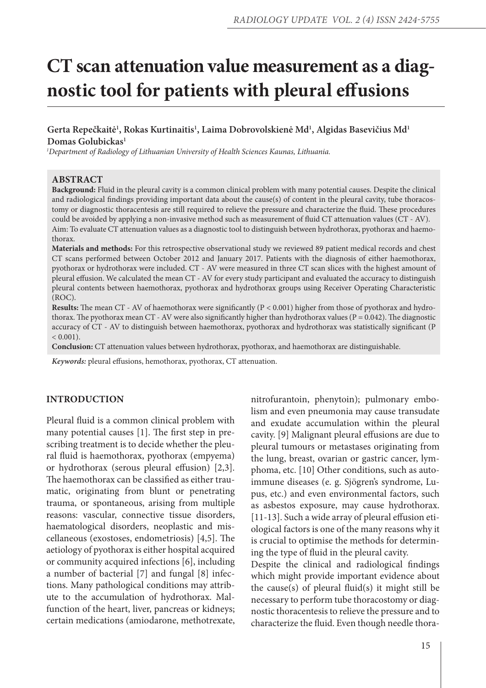# **CT scan attenuation value measurement as a diagnostic tool for patients with pleural effusions**

# **Gerta Repečkaitė1 , Rokas Kurtinaitis1 , Laima Dobrovolskienė Md1 , Algidas Basevičius Md1 Domas Golubickas1**

 *1Department of Radiology of Lithuanian University of Health Sciences Kaunas, Lithuania.*

#### **ABSTRACT**

**Background:** Fluid in the pleural cavity is a common clinical problem with many potential causes. Despite the clinical and radiological findings providing important data about the cause(s) of content in the pleural cavity, tube thoracostomy or diagnostic thoracentesis are still required to relieve the pressure and characterize the fluid. These procedures could be avoided by applying a non-invasive method such as measurement of fluid CT attenuation values (CT - AV). Aim: To evaluate CT attenuation values as a diagnostic tool to distinguish between hydrothorax, pyothorax and haemothorax.

**Materials and methods:** For this retrospective observational study we reviewed 89 patient medical records and chest CT scans performed between October 2012 and January 2017. Patients with the diagnosis of either haemothorax, pyothorax or hydrothorax were included. CT - AV were measured in three CT scan slices with the highest amount of pleural effusion. We calculated the mean CT - AV for every study participant and evaluated the accuracy to distinguish pleural contents between haemothorax, pyothorax and hydrothorax groups using Receiver Operating Characteristic (ROC).

**Results:** The mean CT - AV of haemothorax were significantly (P < 0.001) higher from those of pyothorax and hydrothorax. The pyothorax mean CT - AV were also significantly higher than hydrothorax values ( $P = 0.042$ ). The diagnostic accuracy of CT - AV to distinguish between haemothorax, pyothorax and hydrothorax was statistically significant (P  $< 0.001$ ).

**Conclusion:** CT attenuation values between hydrothorax, pyothorax, and haemothorax are distinguishable.

*Keywords:* pleural effusions, hemothorax, pyothorax, CT attenuation.

## **INTRODUCTION**

Pleural fluid is a common clinical problem with many potential causes [1]. The first step in prescribing treatment is to decide whether the pleural fluid is haemothorax, pyothorax (empyema) or hydrothorax (serous pleural effusion) [2,3]. The haemothorax can be classified as either traumatic, originating from blunt or penetrating trauma, or spontaneous, arising from multiple reasons: vascular, connective tissue disorders, haematological disorders, neoplastic and miscellaneous (exostoses, endometriosis) [4,5]. The aetiology of pyothorax is either hospital acquired or community acquired infections [6], including a number of bacterial [7] and fungal [8] infections. Many pathological conditions may attribute to the accumulation of hydrothorax. Malfunction of the heart, liver, pancreas or kidneys; certain medications (amiodarone, methotrexate, nitrofurantoin, phenytoin); pulmonary embolism and even pneumonia may cause transudate and exudate accumulation within the pleural cavity. [9] Malignant pleural effusions are due to pleural tumours or metastases originating from the lung, breast, ovarian or gastric cancer, lymphoma, etc. [10] Other conditions, such as autoimmune diseases (e. g. Sjögren's syndrome, Lupus, etc.) and even environmental factors, such as asbestos exposure, may cause hydrothorax. [11-13]. Such a wide array of pleural effusion etiological factors is one of the many reasons why it is crucial to optimise the methods for determining the type of fluid in the pleural cavity.

Despite the clinical and radiological findings which might provide important evidence about the cause(s) of pleural fluid(s) it might still be necessary to perform tube thoracostomy or diagnostic thoracentesis to relieve the pressure and to characterize the fluid. Even though needle thora-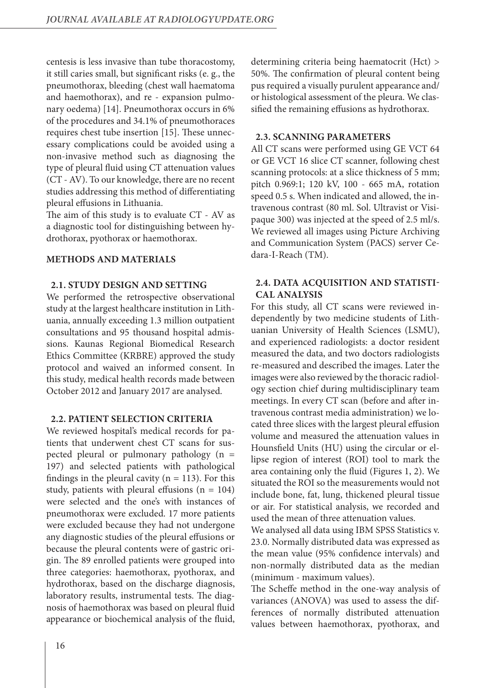centesis is less invasive than tube thoracostomy, it still caries small, but significant risks (e. g., the pneumothorax, bleeding (chest wall haematoma and haemothorax), and re - expansion pulmonary oedema) [14]. Pneumothorax occurs in 6% of the procedures and 34.1% of pneumothoraces requires chest tube insertion [15]. These unnecessary complications could be avoided using a non-invasive method such as diagnosing the type of pleural fluid using CT attenuation values (CT - AV). To our knowledge, there are no recent studies addressing this method of differentiating pleural effusions in Lithuania.

The aim of this study is to evaluate CT - AV as a diagnostic tool for distinguishing between hydrothorax, pyothorax or haemothorax.

#### **METHODS AND MATERIALS**

## **2.1. STUDY DESIGN AND SETTING**

We performed the retrospective observational study at the largest healthcare institution in Lithuania, annually exceeding 1.3 million outpatient consultations and 95 thousand hospital admissions. Kaunas Regional Biomedical Research Ethics Committee (KRBRE) approved the study protocol and waived an informed consent. In this study, medical health records made between October 2012 and January 2017 are analysed.

#### **2.2. PATIENT SELECTION CRITERIA**

We reviewed hospital's medical records for patients that underwent chest CT scans for suspected pleural or pulmonary pathology (n = 197) and selected patients with pathological findings in the pleural cavity ( $n = 113$ ). For this study, patients with pleural effusions  $(n = 104)$ were selected and the one's with instances of pneumothorax were excluded. 17 more patients were excluded because they had not undergone any diagnostic studies of the pleural effusions or because the pleural contents were of gastric origin. The 89 enrolled patients were grouped into three categories: haemothorax, pyothorax, and hydrothorax, based on the discharge diagnosis, laboratory results, instrumental tests. The diagnosis of haemothorax was based on pleural fluid appearance or biochemical analysis of the fluid,

determining criteria being haematocrit (Hct) > 50%. The confirmation of pleural content being pus required a visually purulent appearance and/ or histological assessment of the pleura. We classified the remaining effusions as hydrothorax.

## **2.3. SCANNING PARAMETERS**

All CT scans were performed using GE VCT 64 or GE VCT 16 slice CT scanner, following chest scanning protocols: at a slice thickness of 5 mm; pitch 0.969:1; 120 kV, 100 - 665 mA, rotation speed 0.5 s. When indicated and allowed, the intravenous contrast (80 ml. Sol. Ultravist or Visipaque 300) was injected at the speed of 2.5 ml/s. We reviewed all images using Picture Archiving and Communication System (PACS) server Cedara-I-Reach (TM).

# **2.4. DATA ACQUISITION AND STATISTI-CAL ANALYSIS**

For this study, all CT scans were reviewed independently by two medicine students of Lithuanian University of Health Sciences (LSMU), and experienced radiologists: a doctor resident measured the data, and two doctors radiologists re-measured and described the images. Later the images were also reviewed by the thoracic radiology section chief during multidisciplinary team meetings. In every CT scan (before and after intravenous contrast media administration) we located three slices with the largest pleural effusion volume and measured the attenuation values in Hounsfield Units (HU) using the circular or ellipse region of interest (ROI) tool to mark the area containing only the fluid (Figures 1, 2). We situated the ROI so the measurements would not include bone, fat, lung, thickened pleural tissue or air. For statistical analysis, we recorded and used the mean of three attenuation values.

We analysed all data using IBM SPSS Statistics v. 23.0. Normally distributed data was expressed as the mean value (95% confidence intervals) and non-normally distributed data as the median (minimum - maximum values).

The Scheffe method in the one-way analysis of variances (ANOVA) was used to assess the differences of normally distributed attenuation values between haemothorax, pyothorax, and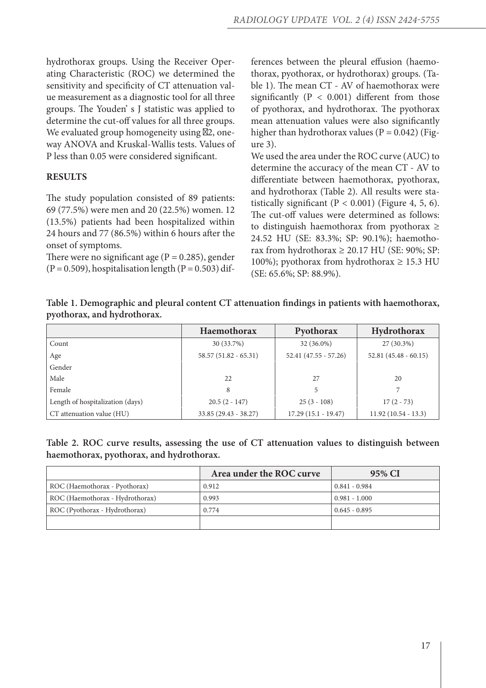hydrothorax groups. Using the Receiver Operating Characteristic (ROC) we determined the sensitivity and specificity of CT attenuation value measurement as a diagnostic tool for all three groups. The Youden' s J statistic was applied to determine the cut-off values for all three groups. We evaluated group homogeneity using 2, oneway ANOVA and Kruskal-Wallis tests. Values of P less than 0.05 were considered significant.

# **RESULTS**

The study population consisted of 89 patients: 69 (77.5%) were men and 20 (22.5%) women. 12 (13.5%) patients had been hospitalized within 24 hours and 77 (86.5%) within 6 hours after the onset of symptoms.

There were no significant age ( $P = 0.285$ ), gender  $(P = 0.509)$ , hospitalisation length  $(P = 0.503)$  differences between the pleural effusion (haemothorax, pyothorax, or hydrothorax) groups. (Table 1). The mean CT - AV of haemothorax were significantly ( $P < 0.001$ ) different from those of pyothorax, and hydrothorax. The pyothorax mean attenuation values were also significantly higher than hydrothorax values ( $P = 0.042$ ) (Figure 3).

We used the area under the ROC curve (AUC) to determine the accuracy of the mean CT - AV to differentiate between haemothorax, pyothorax, and hydrothorax (Table 2). All results were statistically significant ( $P < 0.001$ ) (Figure 4, 5, 6). The cut-off values were determined as follows: to distinguish haemothorax from pyothorax  $\geq$ 24.52 HU (SE: 83.3%; SP: 90.1%); haemothorax from hydrothorax  $\geq 20.17$  HU (SE: 90%; SP: 100%); pyothorax from hydrothorax  $\geq$  15.3 HU (SE: 65.6%; SP: 88.9%).

|                             | Table 1. Demographic and pleural content CT attenuation findings in patients with haemothorax, |
|-----------------------------|------------------------------------------------------------------------------------------------|
| pyothorax, and hydrothorax. |                                                                                                |

|                                  | Haemothorax            | Pyothorax              | Hydrothorax            |
|----------------------------------|------------------------|------------------------|------------------------|
| Count                            | 30 (33.7%)             | $32(36.0\%)$           | $27(30.3\%)$           |
| Age                              | $58.57(51.82 - 65.31)$ | $52.41(47.55 - 57.26)$ | $52.81(45.48 - 60.15)$ |
| Gender                           |                        |                        |                        |
| Male                             | 22                     | 2.7                    | 20                     |
| Female                           | 8                      |                        |                        |
| Length of hospitalization (days) | $20.5(2 - 147)$        | $25(3 - 108)$          | $17(2 - 73)$           |
| CT attenuation value (HU)        | $33.85(29.43 - 38.27)$ | $17.29(15.1 - 19.47)$  | $11.92(10.54 - 13.3)$  |

**Table 2. ROC curve results, assessing the use of CT attenuation values to distinguish between haemothorax, pyothorax, and hydrothorax.**

|                                 | Area under the ROC curve | 95% CI          |
|---------------------------------|--------------------------|-----------------|
| ROC (Haemothorax - Pyothorax)   | 0.912                    | $0.841 - 0.984$ |
| ROC (Haemothorax - Hydrothorax) | 0.993                    | $0.981 - 1.000$ |
| ROC (Pyothorax - Hydrothorax)   | 0.774                    | $0.645 - 0.895$ |
|                                 |                          |                 |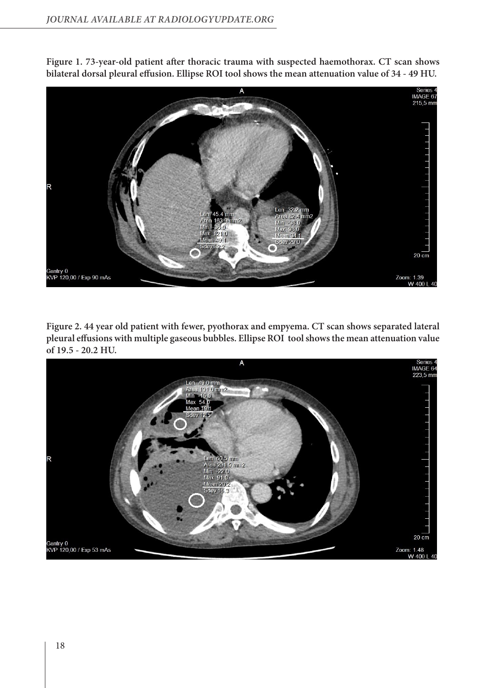

**Figure 1. 73-year-old patient after thoracic trauma with suspected haemothorax. CT scan shows bilateral dorsal pleural effusion. Ellipse ROI tool shows the mean attenuation value of 34 - 49 HU.**

**Figure 2. 44 year old patient with fewer, pyothorax and empyema. CT scan shows separated lateral pleural effusions with multiple gaseous bubbles. Ellipse ROI tool shows the mean attenuation value of 19.5 - 20.2 HU.**

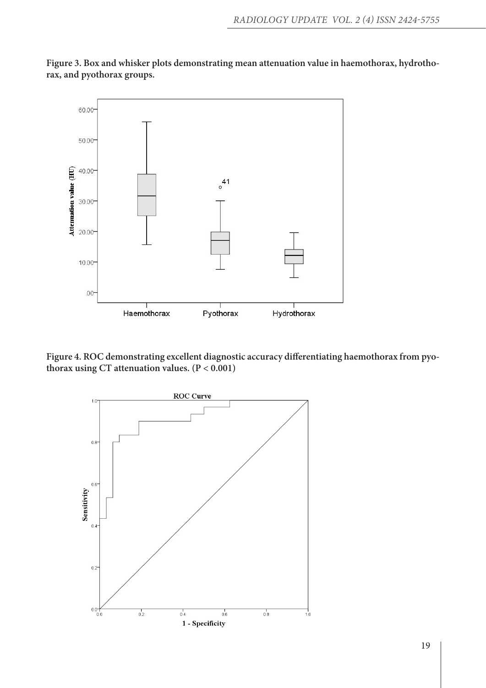

**Figure 3. Box and whisker plots demonstrating mean attenuation value in haemothorax, hydrothorax, and pyothorax groups.**

**Figure 4. ROC demonstrating excellent diagnostic accuracy differentiating haemothorax from pyothorax using CT attenuation values. (P < 0.001)**

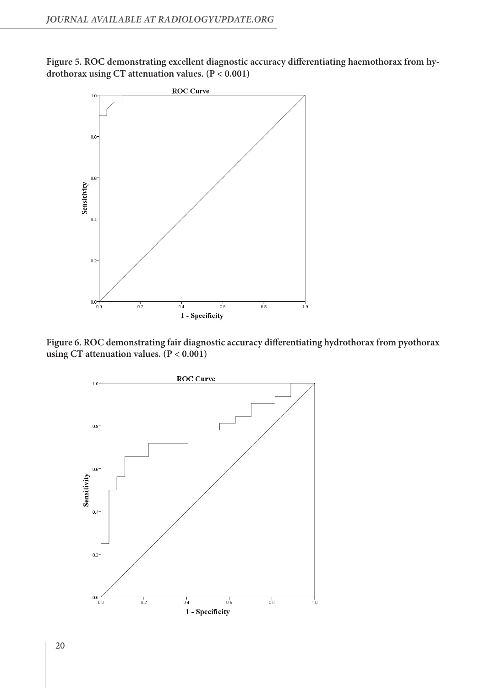**Figure 5. ROC demonstrating excellent diagnostic accuracy differentiating haemothorax from hydrothorax using CT attenuation values. (P < 0.001)**



**Figure 6. ROC demonstrating fair diagnostic accuracy differentiating hydrothorax from pyothorax using CT attenuation values. (P < 0.001)**

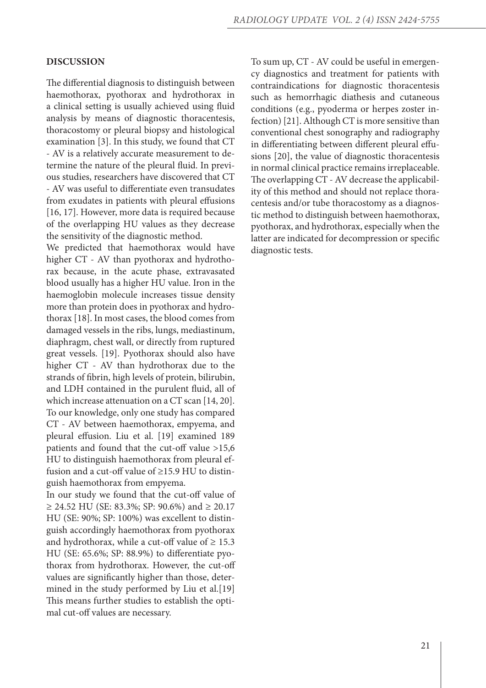#### **DISCUSSION**

The differential diagnosis to distinguish between haemothorax, pyothorax and hydrothorax in a clinical setting is usually achieved using fluid analysis by means of diagnostic thoracentesis, thoracostomy or pleural biopsy and histological examination [3]. In this study, we found that CT - AV is a relatively accurate measurement to determine the nature of the pleural fluid. In previous studies, researchers have discovered that CT - AV was useful to differentiate even transudates from exudates in patients with pleural effusions [16, 17]. However, more data is required because of the overlapping HU values as they decrease the sensitivity of the diagnostic method.

We predicted that haemothorax would have higher CT - AV than pyothorax and hydrothorax because, in the acute phase, extravasated blood usually has a higher HU value. Iron in the haemoglobin molecule increases tissue density more than protein does in pyothorax and hydrothorax [18]. In most cases, the blood comes from damaged vessels in the ribs, lungs, mediastinum, diaphragm, chest wall, or directly from ruptured great vessels. [19]. Pyothorax should also have higher CT - AV than hydrothorax due to the strands of fibrin, high levels of protein, bilirubin, and LDH contained in the purulent fluid, all of which increase attenuation on a CT scan [14, 20]. To our knowledge, only one study has compared CT - AV between haemothorax, empyema, and pleural effusion. Liu et al. [19] examined 189 patients and found that the cut-off value >15,6 HU to distinguish haemothorax from pleural effusion and a cut-off value of ≥15.9 HU to distinguish haemothorax from empyema.

In our study we found that the cut-off value of ≥ 24.52 HU (SE: 83.3%; SP: 90.6%) and ≥ 20.17 HU (SE: 90%; SP: 100%) was excellent to distinguish accordingly haemothorax from pyothorax and hydrothorax, while a cut-off value of  $\geq 15.3$ HU (SE: 65.6%; SP: 88.9%) to differentiate pyothorax from hydrothorax. However, the cut-off values are significantly higher than those, determined in the study performed by Liu et al.[19] This means further studies to establish the optimal cut-off values are necessary.

To sum up, CT - AV could be useful in emergency diagnostics and treatment for patients with contraindications for diagnostic thoracentesis such as hemorrhagic diathesis and cutaneous conditions (e.g., pyoderma or herpes zoster infection) [21]. Although CT is more sensitive than conventional chest sonography and radiography in differentiating between different pleural effusions [20], the value of diagnostic thoracentesis in normal clinical practice remains irreplaceable. The overlapping CT - AV decrease the applicability of this method and should not replace thoracentesis and/or tube thoracostomy as a diagnostic method to distinguish between haemothorax, pyothorax, and hydrothorax, especially when the latter are indicated for decompression or specific diagnostic tests.